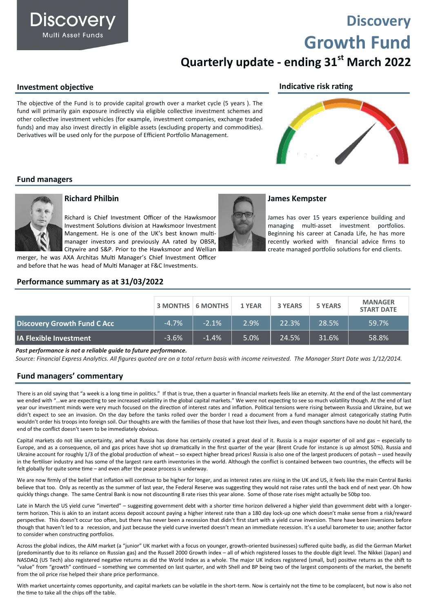**Discovery Growth Fund**

# **Quarterly update - ending 31st March 2022**

**Indicative risk rating**

**James Kempster**

#### **Investment objective**

**Discovery Multi Asset Funds** 

The objective of the Fund is to provide capital growth over a market cycle (5 years ). The fund will primarily gain exposure indirectly via eligible collective investment schemes and other collective investment vehicles (for example, investment companies, exchange traded funds) and may also invest directly in eligible assets (excluding property and commodities). Derivatives will be used only for the purpose of Efficient Portfolio Management.

James has over 15 years experience building and managing multi-asset investment portfolios. Beginning his career at Canada Life, he has more recently worked with financial advice firms to create managed portfolio solutions for end clients.

#### **Fund managers**



#### **Richard Philbin**

Richard is Chief Investment Officer of the Hawksmoor Investment Solutions division at Hawksmoor Investment Mangement. He is one of the UK's best known multimanager investors and previously AA rated by OBSR, Citywire and S&P. Prior to the Hawksmoor and Wellian

merger, he was AXA Architas Multi Manager's Chief Investment Officer and before that he was head of Multi Manager at F&C Investments.

#### **Performance summary as at 31/03/2022**

|                                    |         | <b>3 MONTHS 6 MONTHS</b> | 1 YEAR | <b>3 YEARS</b> | <b>5 YEARS</b> | <b>MANAGER</b><br><b>START DATE</b> |
|------------------------------------|---------|--------------------------|--------|----------------|----------------|-------------------------------------|
| <b>Discovery Growth Fund C Acc</b> | $-4.7%$ | $-2.1%$                  | 2.9%   | 122.3%         | 28.5%          | 59.7%                               |
| <b>IA Flexible Investment</b>      | $-3.6%$ | $-1.4%$                  | 5.0%   | 24.5%          | 31.6%          | 58.8%                               |

*Past performance is not a reliable guide to future performance.*

*Source: Financial Express Analytics. All figures quoted are on a total return basis with income reinvested. The Manager Start Date was 1/12/2014.* 

#### **Fund managers' commentary**

There is an old saying that "a week is a long time in politics." If that is true, then a quarter in financial markets feels like an eternity. At the end of the last commentary we ended with "…we are expecting to see increased volatility in the global capital markets." We were not expecting to see so much volatility though. At the end of last year our investment minds were very much focused on the direction of interest rates and inflation. Political tensions were rising between Russia and Ukraine, but we didn't expect to see an invasion. On the day before the tanks rolled over the border I read a document from a fund manager almost categorically stating Putin wouldn't order his troops into foreign soil. Our thoughts are with the families of those that have lost their lives, and even though sanctions have no doubt hit hard, the end of the conflict doesn't seem to be immediately obvious.

Capital markets do not like uncertainty, and what Russia has done has certainly created a great deal of it. Russia is a major exporter of oil and gas – especially to Europe, and as a consequence, oil and gas prices have shot up dramatically in the first quarter of the year (Brent Crude for instance is up almost 50%). Russia and Ukraine account for roughly 1/3 of the global production of wheat – so expect higher bread prices! Russia is also one of the largest producers of potash – used heavily in the fertiliser industry and has some of the largest rare earth inventories in the world. Although the conflict is contained between two countries, the effects will be felt globally for quite some time – and even after the peace process is underway.

We are now firmly of the belief that inflation will continue to be higher for longer, and as interest rates are rising in the UK and US, it feels like the main Central Banks believe that too. Only as recently as the summer of last year, the Federal Reserve was suggesting they would not raise rates until the back end of next year. Oh how quickly things change. The same Central Bank is now not discounting 8 rate rises this year alone. Some of those rate rises might actually be 50bp too.

Late in March the US yield curve "inverted" – suggesting government debt with a shorter time horizon delivered a higher yield than government debt with a longerterm horizon. This is akin to an instant access deposit account paying a higher interest rate than a 180 day lock-up one which doesn't make sense from a risk/reward perspective. This doesn't occur too often, but there has never been a recession that didn't first start with a yield curve inversion. There have been inversions before though that haven't led to a recession, and just because the yield curve inverted doesn't mean an immediate recession. It's a useful barometer to use; another factor to consider when constructing portfolios.

Across the global indices, the AIM market (a "junior" UK market with a focus on younger, growth-oriented businesses) suffered quite badly, as did the German Market (predominantly due to its reliance on Russian gas) and the Russell 2000 Growth index – all of which registered losses to the double digit level. The Nikkei (Japan) and NASDAQ (US Tech) also registered negative returns as did the World Index as a whole. The major UK indices registered (small, but) positive returns as the shift to "value" from "growth" continued – something we commented on last quarter, and with Shell and BP being two of the largest components of the market, the benefit from the oil price rise helped their share price performance.

With market uncertainty comes opportunity, and capital markets can be volatile in the short-term. Now is certainly not the time to be complacent, but now is also not the time to take all the chips off the table.